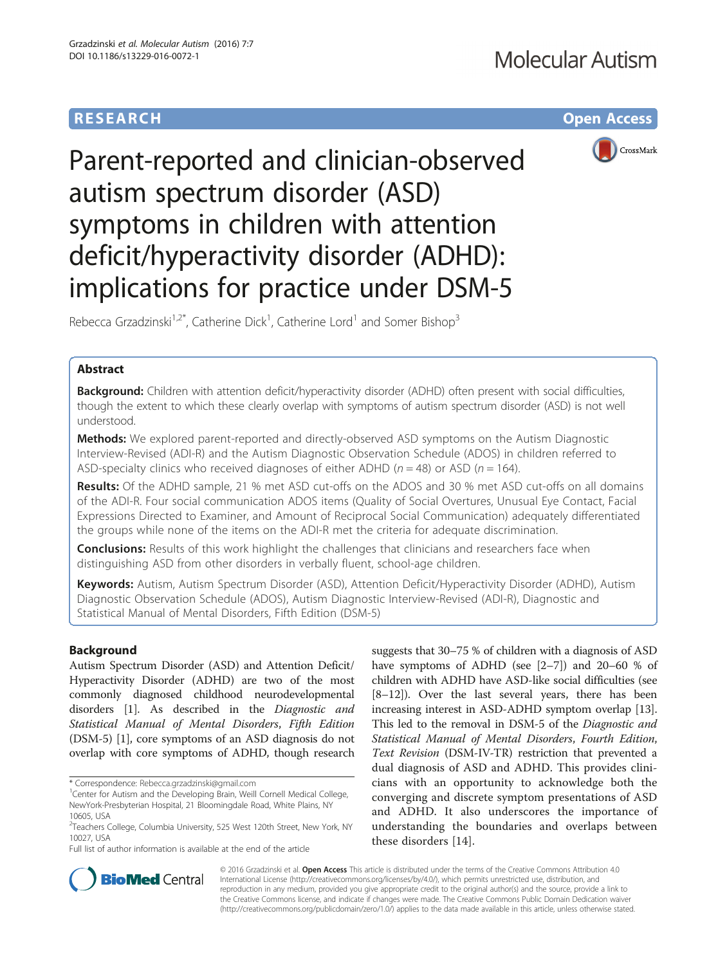## **RESEARCH CHE Open Access**



# Parent-reported and clinician-observed autism spectrum disorder (ASD) symptoms in children with attention deficit/hyperactivity disorder (ADHD): implications for practice under DSM-5

Rebecca Grzadzinski<sup>1,2\*</sup>, Catherine Dick<sup>1</sup>, Catherine Lord<sup>1</sup> and Somer Bishop<sup>3</sup>

## Abstract

Background: Children with attention deficit/hyperactivity disorder (ADHD) often present with social difficulties, though the extent to which these clearly overlap with symptoms of autism spectrum disorder (ASD) is not well understood.

Methods: We explored parent-reported and directly-observed ASD symptoms on the Autism Diagnostic Interview-Revised (ADI-R) and the Autism Diagnostic Observation Schedule (ADOS) in children referred to ASD-specialty clinics who received diagnoses of either ADHD ( $n = 48$ ) or ASD ( $n = 164$ ).

Results: Of the ADHD sample, 21 % met ASD cut-offs on the ADOS and 30 % met ASD cut-offs on all domains of the ADI-R. Four social communication ADOS items (Quality of Social Overtures, Unusual Eye Contact, Facial Expressions Directed to Examiner, and Amount of Reciprocal Social Communication) adequately differentiated the groups while none of the items on the ADI-R met the criteria for adequate discrimination.

**Conclusions:** Results of this work highlight the challenges that clinicians and researchers face when distinguishing ASD from other disorders in verbally fluent, school-age children.

Keywords: Autism, Autism Spectrum Disorder (ASD), Attention Deficit/Hyperactivity Disorder (ADHD), Autism Diagnostic Observation Schedule (ADOS), Autism Diagnostic Interview-Revised (ADI-R), Diagnostic and Statistical Manual of Mental Disorders, Fifth Edition (DSM-5)

## Background

Autism Spectrum Disorder (ASD) and Attention Deficit/ Hyperactivity Disorder (ADHD) are two of the most commonly diagnosed childhood neurodevelopmental disorders [[1](#page-9-0)]. As described in the Diagnostic and Statistical Manual of Mental Disorders, Fifth Edition (DSM-5) [[1](#page-9-0)], core symptoms of an ASD diagnosis do not overlap with core symptoms of ADHD, though research

Full list of author information is available at the end of the article

suggests that 30–75 % of children with a diagnosis of ASD have symptoms of ADHD (see [\[2](#page-9-0)–[7](#page-10-0)]) and 20–60 % of children with ADHD have ASD-like social difficulties (see [[8](#page-10-0)–[12](#page-10-0)]). Over the last several years, there has been increasing interest in ASD-ADHD symptom overlap [[13](#page-10-0)]. This led to the removal in DSM-5 of the Diagnostic and Statistical Manual of Mental Disorders, Fourth Edition, Text Revision (DSM-IV-TR) restriction that prevented a dual diagnosis of ASD and ADHD. This provides clinicians with an opportunity to acknowledge both the converging and discrete symptom presentations of ASD and ADHD. It also underscores the importance of understanding the boundaries and overlaps between these disorders [[14\]](#page-10-0).



© 2016 Grzadzinski et al. Open Access This article is distributed under the terms of the Creative Commons Attribution 4.0 International License [\(http://creativecommons.org/licenses/by/4.0/](http://creativecommons.org/licenses/by/4.0/)), which permits unrestricted use, distribution, and reproduction in any medium, provided you give appropriate credit to the original author(s) and the source, provide a link to the Creative Commons license, and indicate if changes were made. The Creative Commons Public Domain Dedication waiver [\(http://creativecommons.org/publicdomain/zero/1.0/](http://creativecommons.org/publicdomain/zero/1.0/)) applies to the data made available in this article, unless otherwise stated.

<sup>\*</sup> Correspondence: [Rebecca.grzadzinski@gmail.com](mailto:Rebecca.grzadzinski@gmail.com) <sup>1</sup>

<sup>&</sup>lt;sup>1</sup> Center for Autism and the Developing Brain, Weill Cornell Medical College, NewYork-Presbyterian Hospital, 21 Bloomingdale Road, White Plains, NY 10605, USA

<sup>&</sup>lt;sup>2</sup>Teachers College, Columbia University, 525 West 120th Street, New York, NY 10027, USA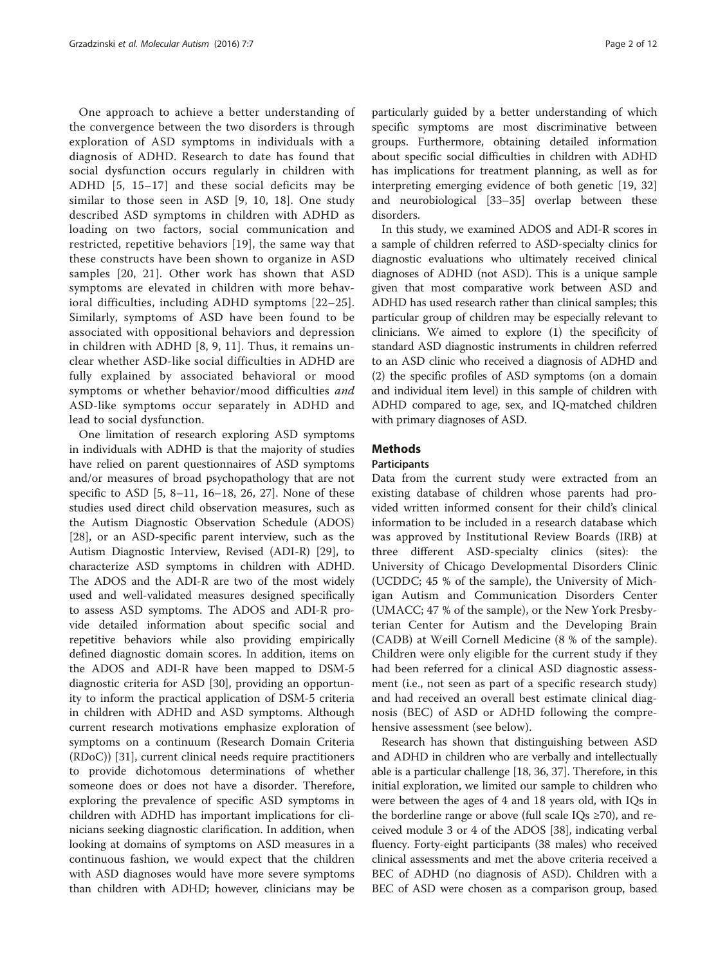One approach to achieve a better understanding of the convergence between the two disorders is through exploration of ASD symptoms in individuals with a diagnosis of ADHD. Research to date has found that social dysfunction occurs regularly in children with ADHD [[5](#page-10-0), [15](#page-10-0)–[17\]](#page-10-0) and these social deficits may be similar to those seen in ASD [\[9](#page-10-0), [10, 18\]](#page-10-0). One study described ASD symptoms in children with ADHD as loading on two factors, social communication and restricted, repetitive behaviors [\[19](#page-10-0)], the same way that these constructs have been shown to organize in ASD samples [[20](#page-10-0), [21](#page-10-0)]. Other work has shown that ASD symptoms are elevated in children with more behavioral difficulties, including ADHD symptoms [[22](#page-10-0)–[25](#page-10-0)]. Similarly, symptoms of ASD have been found to be associated with oppositional behaviors and depression in children with ADHD [\[8, 9, 11](#page-10-0)]. Thus, it remains unclear whether ASD-like social difficulties in ADHD are fully explained by associated behavioral or mood symptoms or whether behavior/mood difficulties and ASD-like symptoms occur separately in ADHD and lead to social dysfunction.

One limitation of research exploring ASD symptoms in individuals with ADHD is that the majority of studies have relied on parent questionnaires of ASD symptoms and/or measures of broad psychopathology that are not specific to ASD [[5, 8](#page-10-0)–[11](#page-10-0), [16](#page-10-0)–[18](#page-10-0), [26](#page-10-0), [27\]](#page-10-0). None of these studies used direct child observation measures, such as the Autism Diagnostic Observation Schedule (ADOS) [[28\]](#page-10-0), or an ASD-specific parent interview, such as the Autism Diagnostic Interview, Revised (ADI-R) [\[29](#page-10-0)], to characterize ASD symptoms in children with ADHD. The ADOS and the ADI-R are two of the most widely used and well-validated measures designed specifically to assess ASD symptoms. The ADOS and ADI-R provide detailed information about specific social and repetitive behaviors while also providing empirically defined diagnostic domain scores. In addition, items on the ADOS and ADI-R have been mapped to DSM-5 diagnostic criteria for ASD [[30](#page-10-0)], providing an opportunity to inform the practical application of DSM-5 criteria in children with ADHD and ASD symptoms. Although current research motivations emphasize exploration of symptoms on a continuum (Research Domain Criteria (RDoC)) [\[31](#page-10-0)], current clinical needs require practitioners to provide dichotomous determinations of whether someone does or does not have a disorder. Therefore, exploring the prevalence of specific ASD symptoms in children with ADHD has important implications for clinicians seeking diagnostic clarification. In addition, when looking at domains of symptoms on ASD measures in a continuous fashion, we would expect that the children with ASD diagnoses would have more severe symptoms than children with ADHD; however, clinicians may be

particularly guided by a better understanding of which specific symptoms are most discriminative between groups. Furthermore, obtaining detailed information about specific social difficulties in children with ADHD has implications for treatment planning, as well as for interpreting emerging evidence of both genetic [[19](#page-10-0), [32](#page-10-0)] and neurobiological [[33](#page-10-0)–[35](#page-10-0)] overlap between these disorders.

In this study, we examined ADOS and ADI-R scores in a sample of children referred to ASD-specialty clinics for diagnostic evaluations who ultimately received clinical diagnoses of ADHD (not ASD). This is a unique sample given that most comparative work between ASD and ADHD has used research rather than clinical samples; this particular group of children may be especially relevant to clinicians. We aimed to explore (1) the specificity of standard ASD diagnostic instruments in children referred to an ASD clinic who received a diagnosis of ADHD and (2) the specific profiles of ASD symptoms (on a domain and individual item level) in this sample of children with ADHD compared to age, sex, and IQ-matched children with primary diagnoses of ASD.

## **Methods**

## **Participants**

Data from the current study were extracted from an existing database of children whose parents had provided written informed consent for their child's clinical information to be included in a research database which was approved by Institutional Review Boards (IRB) at three different ASD-specialty clinics (sites): the University of Chicago Developmental Disorders Clinic (UCDDC; 45 % of the sample), the University of Michigan Autism and Communication Disorders Center (UMACC; 47 % of the sample), or the New York Presbyterian Center for Autism and the Developing Brain (CADB) at Weill Cornell Medicine (8 % of the sample). Children were only eligible for the current study if they had been referred for a clinical ASD diagnostic assessment (i.e., not seen as part of a specific research study) and had received an overall best estimate clinical diagnosis (BEC) of ASD or ADHD following the comprehensive assessment (see below).

Research has shown that distinguishing between ASD and ADHD in children who are verbally and intellectually able is a particular challenge [\[18](#page-10-0), [36](#page-10-0), [37\]](#page-10-0). Therefore, in this initial exploration, we limited our sample to children who were between the ages of 4 and 18 years old, with IQs in the borderline range or above (full scale  $IQs \ge 70$ ), and received module 3 or 4 of the ADOS [[38](#page-10-0)], indicating verbal fluency. Forty-eight participants (38 males) who received clinical assessments and met the above criteria received a BEC of ADHD (no diagnosis of ASD). Children with a BEC of ASD were chosen as a comparison group, based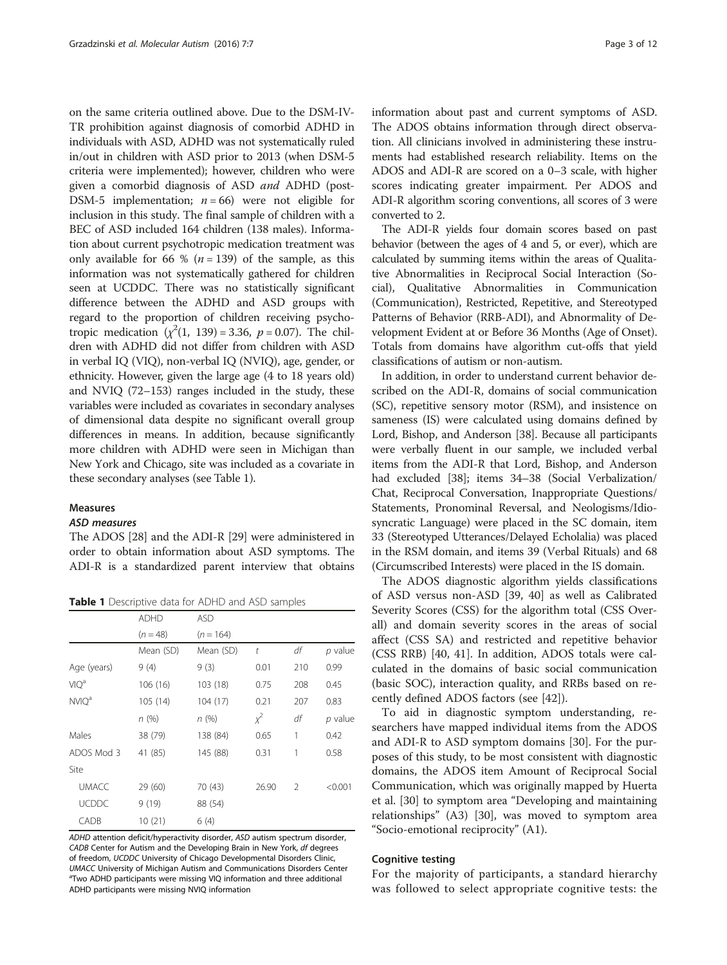on the same criteria outlined above. Due to the DSM-IV-TR prohibition against diagnosis of comorbid ADHD in individuals with ASD, ADHD was not systematically ruled in/out in children with ASD prior to 2013 (when DSM-5 criteria were implemented); however, children who were given a comorbid diagnosis of ASD and ADHD (post-DSM-5 implementation;  $n = 66$ ) were not eligible for inclusion in this study. The final sample of children with a BEC of ASD included 164 children (138 males). Information about current psychotropic medication treatment was only available for 66 % ( $n = 139$ ) of the sample, as this information was not systematically gathered for children seen at UCDDC. There was no statistically significant difference between the ADHD and ASD groups with regard to the proportion of children receiving psychotropic medication  $(\chi^2(1, 139) = 3.36, p = 0.07)$ . The children with ADHD did not differ from children with ASD in verbal IQ (VIQ), non-verbal IQ (NVIQ), age, gender, or ethnicity. However, given the large age (4 to 18 years old) and NVIQ (72–153) ranges included in the study, these variables were included as covariates in secondary analyses of dimensional data despite no significant overall group differences in means. In addition, because significantly more children with ADHD were seen in Michigan than New York and Chicago, site was included as a covariate in these secondary analyses (see Table 1).

#### Measures

#### ASD measures

The ADOS [\[28\]](#page-10-0) and the ADI-R [\[29\]](#page-10-0) were administered in order to obtain information about ASD symptoms. The ADI-R is a standardized parent interview that obtains

Table 1 Descriptive data for ADHD and ASD samples

|                  | <b>ADHD</b> | <b>ASD</b>  |       |                |           |
|------------------|-------------|-------------|-------|----------------|-----------|
|                  | $(n = 48)$  | $(n = 164)$ |       |                |           |
|                  | Mean (SD)   | Mean (SD)   | t     | df             | p value   |
| Age (years)      | 9(4)        | 9(3)        | 0.01  | 210            | 0.99      |
| VIO <sup>a</sup> | 106(16)     | 103 (18)    | 0.75  | 208            | 0.45      |
| NVO <sup>a</sup> | 105 (14)    | 104 (17)    | 0.21  | 207            | 0.83      |
|                  | n (%)       | n (%)       | χ     | df             | $p$ value |
| Males            | 38 (79)     | 138 (84)    | 0.65  | 1              | 0.42      |
| ADOS Mod 3       | 41 (85)     | 145 (88)    | 0.31  | 1              | 0.58      |
| Site             |             |             |       |                |           |
| <b>UMACC</b>     | 29 (60)     | 70 (43)     | 26.90 | $\mathfrak{D}$ | < 0.001   |
| <b>UCDDC</b>     | 9(19)       | 88 (54)     |       |                |           |
| CADB             | 10(21)      | 6(4)        |       |                |           |

ADHD attention deficit/hyperactivity disorder, ASD autism spectrum disorder, CADB Center for Autism and the Developing Brain in New York, df degrees of freedom, UCDDC University of Chicago Developmental Disorders Clinic, UMACC University of Michigan Autism and Communications Disorders Center Two ADHD participants were missing VIQ information and three additional ADHD participants were missing NVIQ information

information about past and current symptoms of ASD. The ADOS obtains information through direct observation. All clinicians involved in administering these instruments had established research reliability. Items on the ADOS and ADI-R are scored on a 0–3 scale, with higher scores indicating greater impairment. Per ADOS and ADI-R algorithm scoring conventions, all scores of 3 were converted to 2.

The ADI-R yields four domain scores based on past behavior (between the ages of 4 and 5, or ever), which are calculated by summing items within the areas of Qualitative Abnormalities in Reciprocal Social Interaction (Social), Qualitative Abnormalities in Communication (Communication), Restricted, Repetitive, and Stereotyped Patterns of Behavior (RRB-ADI), and Abnormality of Development Evident at or Before 36 Months (Age of Onset). Totals from domains have algorithm cut-offs that yield classifications of autism or non-autism.

In addition, in order to understand current behavior described on the ADI-R, domains of social communication (SC), repetitive sensory motor (RSM), and insistence on sameness (IS) were calculated using domains defined by Lord, Bishop, and Anderson [[38](#page-10-0)]. Because all participants were verbally fluent in our sample, we included verbal items from the ADI-R that Lord, Bishop, and Anderson had excluded [[38](#page-10-0)]; items 34–38 (Social Verbalization/ Chat, Reciprocal Conversation, Inappropriate Questions/ Statements, Pronominal Reversal, and Neologisms/Idiosyncratic Language) were placed in the SC domain, item 33 (Stereotyped Utterances/Delayed Echolalia) was placed in the RSM domain, and items 39 (Verbal Rituals) and 68 (Circumscribed Interests) were placed in the IS domain.

The ADOS diagnostic algorithm yields classifications of ASD versus non-ASD [[39, 40\]](#page-10-0) as well as Calibrated Severity Scores (CSS) for the algorithm total (CSS Overall) and domain severity scores in the areas of social affect (CSS SA) and restricted and repetitive behavior (CSS RRB) [[40](#page-10-0), [41](#page-10-0)]. In addition, ADOS totals were calculated in the domains of basic social communication (basic SOC), interaction quality, and RRBs based on recently defined ADOS factors (see [[42\]](#page-10-0)).

To aid in diagnostic symptom understanding, researchers have mapped individual items from the ADOS and ADI-R to ASD symptom domains [\[30](#page-10-0)]. For the purposes of this study, to be most consistent with diagnostic domains, the ADOS item Amount of Reciprocal Social Communication, which was originally mapped by Huerta et al. [[30](#page-10-0)] to symptom area "Developing and maintaining relationships" (A3) [[30\]](#page-10-0), was moved to symptom area "Socio-emotional reciprocity" (A1).

#### Cognitive testing

For the majority of participants, a standard hierarchy was followed to select appropriate cognitive tests: the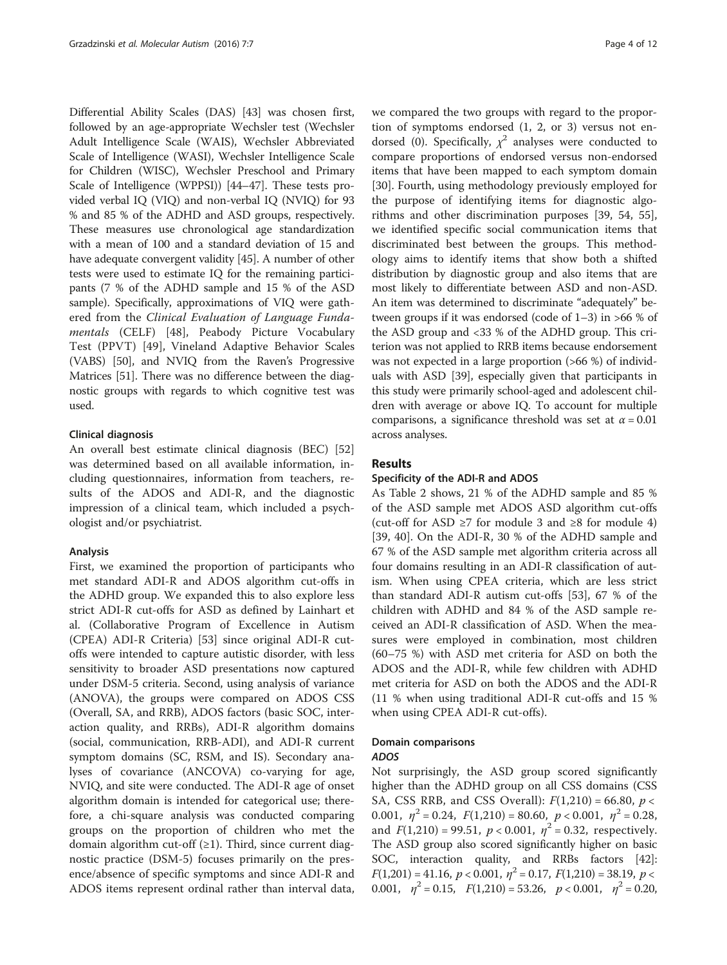Differential Ability Scales (DAS) [\[43](#page-10-0)] was chosen first, followed by an age-appropriate Wechsler test (Wechsler Adult Intelligence Scale (WAIS), Wechsler Abbreviated Scale of Intelligence (WASI), Wechsler Intelligence Scale for Children (WISC), Wechsler Preschool and Primary Scale of Intelligence (WPPSI)) [[44](#page-10-0)–[47\]](#page-11-0). These tests provided verbal IQ (VIQ) and non-verbal IQ (NVIQ) for 93 % and 85 % of the ADHD and ASD groups, respectively. These measures use chronological age standardization with a mean of 100 and a standard deviation of 15 and have adequate convergent validity [\[45](#page-10-0)]. A number of other tests were used to estimate IQ for the remaining participants (7 % of the ADHD sample and 15 % of the ASD sample). Specifically, approximations of VIQ were gathered from the Clinical Evaluation of Language Fundamentals (CELF) [\[48](#page-11-0)], Peabody Picture Vocabulary Test (PPVT) [[49](#page-11-0)], Vineland Adaptive Behavior Scales (VABS) [\[50\]](#page-11-0), and NVIQ from the Raven's Progressive Matrices [\[51\]](#page-11-0). There was no difference between the diagnostic groups with regards to which cognitive test was used.

#### Clinical diagnosis

An overall best estimate clinical diagnosis (BEC) [[52](#page-11-0)] was determined based on all available information, including questionnaires, information from teachers, results of the ADOS and ADI-R, and the diagnostic impression of a clinical team, which included a psychologist and/or psychiatrist.

#### Analysis

First, we examined the proportion of participants who met standard ADI-R and ADOS algorithm cut-offs in the ADHD group. We expanded this to also explore less strict ADI-R cut-offs for ASD as defined by Lainhart et al. (Collaborative Program of Excellence in Autism (CPEA) ADI-R Criteria) [\[53](#page-11-0)] since original ADI-R cutoffs were intended to capture autistic disorder, with less sensitivity to broader ASD presentations now captured under DSM-5 criteria. Second, using analysis of variance (ANOVA), the groups were compared on ADOS CSS (Overall, SA, and RRB), ADOS factors (basic SOC, interaction quality, and RRBs), ADI-R algorithm domains (social, communication, RRB-ADI), and ADI-R current symptom domains (SC, RSM, and IS). Secondary analyses of covariance (ANCOVA) co-varying for age, NVIQ, and site were conducted. The ADI-R age of onset algorithm domain is intended for categorical use; therefore, a chi-square analysis was conducted comparing groups on the proportion of children who met the domain algorithm cut-off  $(\geq 1)$ . Third, since current diagnostic practice (DSM-5) focuses primarily on the presence/absence of specific symptoms and since ADI-R and ADOS items represent ordinal rather than interval data, we compared the two groups with regard to the proportion of symptoms endorsed (1, 2, or 3) versus not endorsed (0). Specifically,  $\chi^2$  analyses were conducted to compare proportions of endorsed versus non-endorsed items that have been mapped to each symptom domain [[30\]](#page-10-0). Fourth, using methodology previously employed for the purpose of identifying items for diagnostic algorithms and other discrimination purposes [\[39,](#page-10-0) [54, 55](#page-11-0)], we identified specific social communication items that discriminated best between the groups. This methodology aims to identify items that show both a shifted distribution by diagnostic group and also items that are most likely to differentiate between ASD and non-ASD. An item was determined to discriminate "adequately" between groups if it was endorsed (code of  $1-3$ ) in  $>66\%$  of the ASD group and <33 % of the ADHD group. This criterion was not applied to RRB items because endorsement was not expected in a large proportion (>66 %) of individuals with ASD [[39\]](#page-10-0), especially given that participants in this study were primarily school-aged and adolescent children with average or above IQ. To account for multiple comparisons, a significance threshold was set at  $\alpha = 0.01$ across analyses.

#### Results

#### Specificity of the ADI-R and ADOS

As Table [2](#page-4-0) shows, 21 % of the ADHD sample and 85 % of the ASD sample met ADOS ASD algorithm cut-offs (cut-off for ASD ≥7 for module 3 and ≥8 for module 4) [[39, 40](#page-10-0)]. On the ADI-R, 30 % of the ADHD sample and 67 % of the ASD sample met algorithm criteria across all four domains resulting in an ADI-R classification of autism. When using CPEA criteria, which are less strict than standard ADI-R autism cut-offs [[53](#page-11-0)], 67 % of the children with ADHD and 84 % of the ASD sample received an ADI-R classification of ASD. When the measures were employed in combination, most children (60–75 %) with ASD met criteria for ASD on both the ADOS and the ADI-R, while few children with ADHD met criteria for ASD on both the ADOS and the ADI-R (11 % when using traditional ADI-R cut-offs and 15 % when using CPEA ADI-R cut-offs).

## Domain comparisons

#### ADOS

Not surprisingly, the ASD group scored significantly higher than the ADHD group on all CSS domains (CSS SA, CSS RRB, and CSS Overall):  $F(1,210) = 66.80$ ,  $p <$ 0.001,  $\eta^2 = 0.24$ ,  $F(1,210) = 80.60$ ,  $p < 0.001$ ,  $\eta^2 = 0.28$ , and  $F(1,210) = 99.51$ ,  $p < 0.001$ ,  $\eta^2 = 0.32$ , respectively. The ASD group also scored significantly higher on basic SOC, interaction quality, and RRBs factors [[42](#page-10-0)]:  $F(1,201) = 41.16, p < 0.001, \eta^2 = 0.17, F(1,210) = 38.19, p <$ 0.001,  $\eta^2 = 0.15$ ,  $F(1,210) = 53.26$ ,  $p < 0.001$ ,  $\eta^2 = 0.20$ ,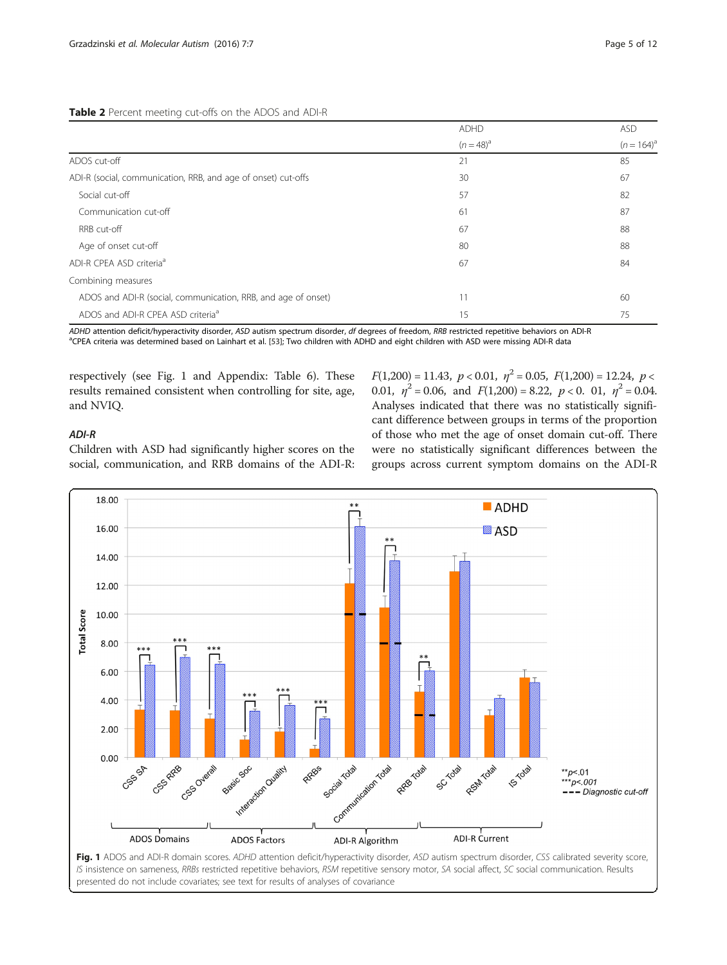<span id="page-4-0"></span>

|                                                               | ADHD         | <b>ASD</b>      |  |
|---------------------------------------------------------------|--------------|-----------------|--|
|                                                               | $(n=48)^{a}$ | $(n = 164)^{d}$ |  |
| ADOS cut-off                                                  | 21           | 85              |  |
| ADI-R (social, communication, RRB, and age of onset) cut-offs | 30           | 67              |  |
| Social cut-off                                                | 57           | 82              |  |
| Communication cut-off                                         | 61           | 87              |  |
| RRB cut-off                                                   | 67           | 88              |  |
| Age of onset cut-off                                          | 80           | 88              |  |
| ADI-R CPEA ASD criteria <sup>a</sup>                          | 67           | 84              |  |
| Combining measures                                            |              |                 |  |
| ADOS and ADI-R (social, communication, RRB, and age of onset) | 11           | 60              |  |
| ADOS and ADI-R CPEA ASD criteria <sup>a</sup>                 | 15           | 75              |  |

ADHD attention deficit/hyperactivity disorder, ASD autism spectrum disorder, df degrees of freedom, RRB restricted repetitive behaviors on ADI-R <sup>a</sup>CPEA criteria was determined based on Lainhart et al. [\[53](#page-11-0)]; Two children with ADHD and eight children with ASD were missing ADI-R data

respectively (see Fig. 1 and [Appendix](#page-9-0): Table 6). These results remained consistent when controlling for site, age, and NVIQ.

## ADI-R

Children with ASD had significantly higher scores on the social, communication, and RRB domains of the ADI-R:  $F(1,200) = 11.43, p < 0.01, \eta^2 = 0.05, F(1,200) = 12.24, p <$ 0.01,  $\eta^2 = 0.06$ , and  $F(1,200) = 8.22$ ,  $p < 0.01$ ,  $\eta^2 = 0.04$ . Analyses indicated that there was no statistically significant difference between groups in terms of the proportion of those who met the age of onset domain cut-off. There were no statistically significant differences between the groups across current symptom domains on the ADI-R



IS insistence on sameness, RRBs restricted repetitive behaviors, RSM repetitive sensory motor, SA social affect, SC social communication. Results presented do not include covariates; see text for results of analyses of covariance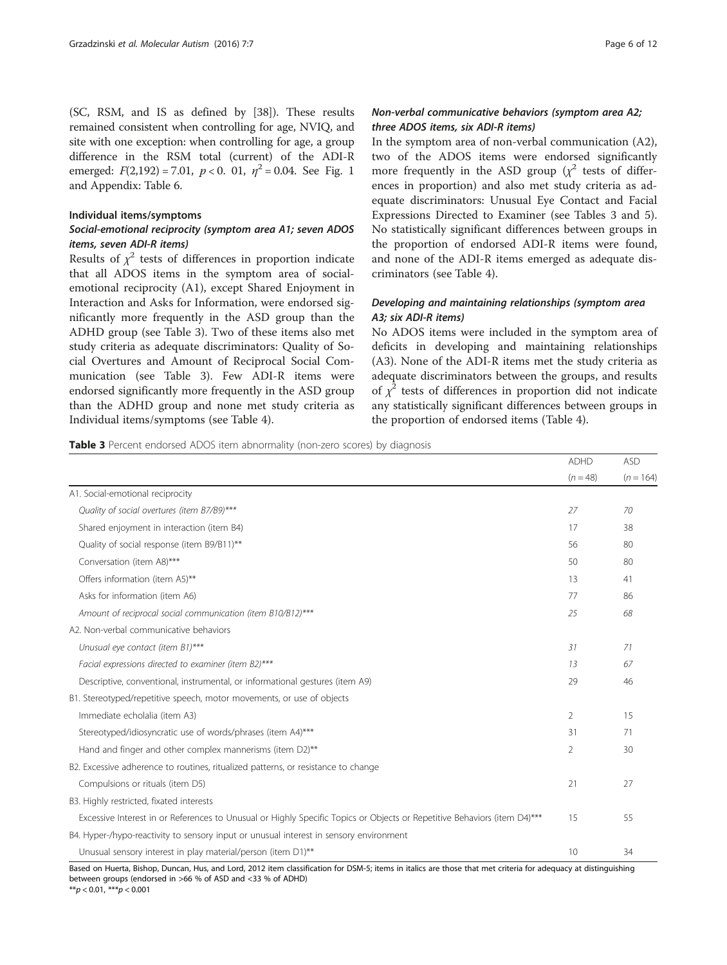<span id="page-5-0"></span>(SC, RSM, and IS as defined by [[38](#page-10-0)]). These results remained consistent when controlling for age, NVIQ, and site with one exception: when controlling for age, a group difference in the RSM total (current) of the ADI-R emerged:  $F(2,192) = 7.01$ ,  $p < 0.01$ ,  $p^2 = 0.04$ . See Fig. [1](#page-4-0) and [Appendix](#page-9-0): Table 6.

#### Individual items/symptoms

## Social-emotional reciprocity (symptom area A1; seven ADOS items, seven ADI-R items)

Results of  $\chi^2$  tests of differences in proportion indicate that all ADOS items in the symptom area of socialemotional reciprocity (A1), except Shared Enjoyment in Interaction and Asks for Information, were endorsed significantly more frequently in the ASD group than the ADHD group (see Table 3). Two of these items also met study criteria as adequate discriminators: Quality of Social Overtures and Amount of Reciprocal Social Communication (see Table 3). Few ADI-R items were endorsed significantly more frequently in the ASD group than the ADHD group and none met study criteria as Individual items/symptoms (see Table [4](#page-6-0)).

## Non-verbal communicative behaviors (symptom area A2; three ADOS items, six ADI-R items)

In the symptom area of non-verbal communication (A2), two of the ADOS items were endorsed significantly more frequently in the ASD group  $(\chi^2$  tests of differences in proportion) and also met study criteria as adequate discriminators: Unusual Eye Contact and Facial Expressions Directed to Examiner (see Tables 3 and [5](#page-7-0)). No statistically significant differences between groups in the proportion of endorsed ADI-R items were found, and none of the ADI-R items emerged as adequate discriminators (see Table [4\)](#page-6-0).

## Developing and maintaining relationships (symptom area A3; six ADI-R items)

No ADOS items were included in the symptom area of deficits in developing and maintaining relationships (A3). None of the ADI-R items met the study criteria as adequate discriminators between the groups, and results of  $\chi^2$  tests of differences in proportion did not indicate any statistically significant differences between groups in the proportion of endorsed items (Table [4](#page-7-0)).

Table 3 Percent endorsed ADOS item abnormality (non-zero scores) by diagnosis

|                                                                                                                          | <b>ADHD</b>    | <b>ASD</b>  |
|--------------------------------------------------------------------------------------------------------------------------|----------------|-------------|
|                                                                                                                          | $(n = 48)$     | $(n = 164)$ |
| A1. Social-emotional reciprocity                                                                                         |                |             |
| Quality of social overtures (item B7/B9)***                                                                              | 27             | 70          |
| Shared enjoyment in interaction (item B4)                                                                                | 17             | 38          |
| Quality of social response (item B9/B11)**                                                                               | 56             | 80          |
| Conversation (item A8)***                                                                                                | 50             | 80          |
| Offers information (item A5)**                                                                                           | 13             | 41          |
| Asks for information (item A6)                                                                                           | 77             | 86          |
| Amount of reciprocal social communication (item B10/B12)***                                                              | 25             | 68          |
| A2. Non-verbal communicative behaviors                                                                                   |                |             |
| Unusual eye contact (item B1)***                                                                                         | 31             | 71          |
| Facial expressions directed to examiner (item B2)***                                                                     | 13             | 67          |
| Descriptive, conventional, instrumental, or informational gestures (item A9)                                             | 29             | 46          |
| B1. Stereotyped/repetitive speech, motor movements, or use of objects                                                    |                |             |
| Immediate echolalia (item A3)                                                                                            | $\mathfrak{D}$ | 15          |
| Stereotyped/idiosyncratic use of words/phrases (item A4)***                                                              | 31             | 71          |
| Hand and finger and other complex mannerisms (item D2)**                                                                 | 2              | 30          |
| B2. Excessive adherence to routines, ritualized patterns, or resistance to change                                        |                |             |
| Compulsions or rituals (item D5)                                                                                         | 21             | 27          |
| B3. Highly restricted, fixated interests                                                                                 |                |             |
| Excessive Interest in or References to Unusual or Highly Specific Topics or Objects or Repetitive Behaviors (item D4)*** | 15             | 55          |
| B4. Hyper-/hypo-reactivity to sensory input or unusual interest in sensory environment                                   |                |             |
| Unusual sensory interest in play material/person (item D1)**                                                             | 10             | 34          |

Based on Huerta, Bishop, Duncan, Hus, and Lord, 2012 item classification for DSM-5; items in italics are those that met criteria for adequacy at distinguishing between groups (endorsed in >66 % of ASD and <33 % of ADHD)

 $**p < 0.01, **p < 0.001$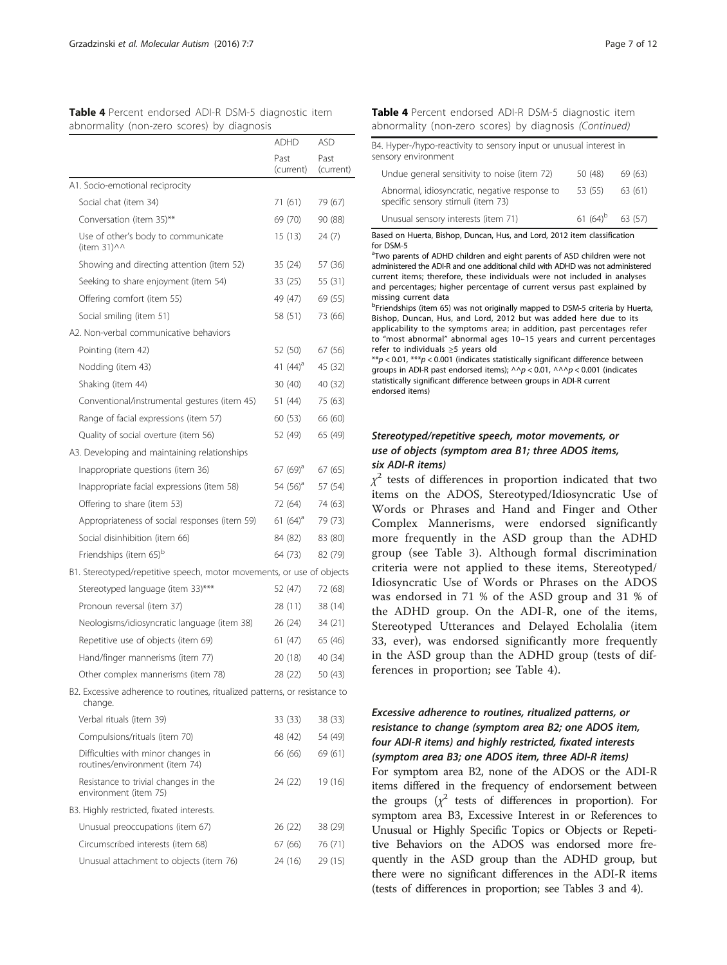<span id="page-6-0"></span>

| Table 4 Percent endorsed ADI-R DSM-5 diagnostic item |  |  |
|------------------------------------------------------|--|--|
| abnormality (non-zero scores) by diagnosis           |  |  |

|                                                                                       | ADHD                  | ASD               |
|---------------------------------------------------------------------------------------|-----------------------|-------------------|
|                                                                                       | Past<br>(current)     | Past<br>(current) |
| A1. Socio-emotional reciprocity                                                       |                       |                   |
| Social chat (item 34)                                                                 | 71 (61)               | 79 (67)           |
| Conversation (item 35)**                                                              | 69 (70)               | 90 (88)           |
| Use of other's body to communicate<br>(item $31)$ ^ ^                                 | 15(13)                | 24 (7)            |
| Showing and directing attention (item 52)                                             | 35 (24)               | 57 (36)           |
| Seeking to share enjoyment (item 54)                                                  | 33 (25)               | 55 (31)           |
| Offering comfort (item 55)                                                            | 49 (47)               | 69 (55)           |
| Social smiling (item 51)                                                              | 58 (51)               | 73 (66)           |
| A2. Non-verbal communicative behaviors                                                |                       |                   |
| Pointing (item 42)                                                                    | 52 (50)               | 67 (56)           |
| Nodding (item 43)                                                                     | 41 $(44)^a$           | 45 (32)           |
| Shaking (item 44)                                                                     | 30 (40)               | 40 (32)           |
| Conventional/instrumental gestures (item 45)                                          | 51 (44)               | 75 (63)           |
| Range of facial expressions (item 57)                                                 | 60 (53)               | 66 (60)           |
| Quality of social overture (item 56)                                                  | 52 (49)               | 65 (49)           |
| A3. Developing and maintaining relationships                                          |                       |                   |
| Inappropriate questions (item 36)                                                     | $67(69)$ <sup>d</sup> | 67 (65)           |
| Inappropriate facial expressions (item 58)                                            | 54 $(56)^d$           | 57 (54)           |
| Offering to share (item 53)                                                           | 72 (64)               | 74 (63)           |
| Appropriateness of social responses (item 59)                                         | 61 $(64)^a$           | 79 (73)           |
| Social disinhibition (item 66)                                                        | 84 (82)               | 83 (80)           |
| Friendships (item 65) <sup>b</sup>                                                    | 64 (73)               | 82 (79)           |
| B1. Stereotyped/repetitive speech, motor movements, or use of objects                 |                       |                   |
| Stereotyped language (item 33)***                                                     | 52 (47)               | 72 (68)           |
| Pronoun reversal (item 37)                                                            | 28 (11)               | 38 (14)           |
| Neologisms/idiosyncratic language (item 38)                                           | 26 (24)               | 34 (21)           |
| Repetitive use of objects (item 69)                                                   | 61 (47)               | 65 (46)           |
| Hand/finger mannerisms (item 77)                                                      | 20 (18)               | 40 (34)           |
| Other complex mannerisms (item 78)                                                    | 28 (22)               | 50 (43)           |
| B2. Excessive adherence to routines, ritualized patterns, or resistance to<br>change. |                       |                   |
| Verbal rituals (item 39)                                                              | 33 (33)               | 38 (33)           |
| Compulsions/rituals (item 70)                                                         | 48 (42)               | 54 (49)           |
| Difficulties with minor changes in<br>routines/environment (item 74)                  | 66 (66)               | 69 (61)           |
| Resistance to trivial changes in the<br>environment (item 75)                         | 24 (22)               | 19 (16)           |
| B3. Highly restricted, fixated interests.                                             |                       |                   |
| Unusual preoccupations (item 67)                                                      | 26 (22)               | 38 (29)           |
| Circumscribed interests (item 68)                                                     | 67 (66)               | 76 (71)           |
| Unusual attachment to objects (item 76)                                               | 24 (16)               | 29 (15)           |

| B4. Hyper-/hypo-reactivity to sensory input or unusual interest in<br>sensory environment |             |         |  |  |
|-------------------------------------------------------------------------------------------|-------------|---------|--|--|
| Undue general sensitivity to noise (item 72)                                              | 50 (48)     | 69 (63) |  |  |
| Abnormal, idiosyncratic, negative response to<br>specific sensory stimuli (item 73)       | 53 (55)     | 63(61)  |  |  |
| Unusual sensory interests (item 71)                                                       | 61 $(64)^b$ | 63 (57) |  |  |
|                                                                                           |             |         |  |  |

Based on Huerta, Bishop, Duncan, Hus, and Lord, 2012 item classification for DSM-5

<sup>a</sup>Two parents of ADHD children and eight parents of ASD children were not administered the ADI-R and one additional child with ADHD was not administered current items; therefore, these individuals were not included in analyses and percentages; higher percentage of current versus past explained by missing current data

<sup>b</sup>Friendships (item 65) was not originally mapped to DSM-5 criteria by Huerta, Bishop, Duncan, Hus, and Lord, 2012 but was added here due to its applicability to the symptoms area; in addition, past percentages refer to "most abnormal" abnormal ages 10–15 years and current percentages refer to individuals ≥5 years old

\*\*p < 0.01, \*\*\*p < 0.001 (indicates statistically significant difference between groups in ADI-R past endorsed items);  $\wedge \wedge p < 0.01$ ,  $\wedge \wedge \wedge p < 0.001$  (indicates statistically significant difference between groups in ADI-R current endorsed items)

## Stereotyped/repetitive speech, motor movements, or use of objects (symptom area B1; three ADOS items, six ADI-R items)

 $\chi^2$  tests of differences in proportion indicated that two items on the ADOS, Stereotyped/Idiosyncratic Use of Words or Phrases and Hand and Finger and Other Complex Mannerisms, were endorsed significantly more frequently in the ASD group than the ADHD group (see Table [3](#page-5-0)). Although formal discrimination criteria were not applied to these items, Stereotyped/ Idiosyncratic Use of Words or Phrases on the ADOS was endorsed in 71 % of the ASD group and 31 % of the ADHD group. On the ADI-R, one of the items, Stereotyped Utterances and Delayed Echolalia (item 33, ever), was endorsed significantly more frequently in the ASD group than the ADHD group (tests of differences in proportion; see Table 4).

## Excessive adherence to routines, ritualized patterns, or resistance to change (symptom area B2; one ADOS item, four ADI-R items) and highly restricted, fixated interests (symptom area B3; one ADOS item, three ADI-R items)

For symptom area B2, none of the ADOS or the ADI-R items differed in the frequency of endorsement between the groups  $(\chi^2$  tests of differences in proportion). For symptom area B3, Excessive Interest in or References to Unusual or Highly Specific Topics or Objects or Repetitive Behaviors on the ADOS was endorsed more frequently in the ASD group than the ADHD group, but there were no significant differences in the ADI-R items (tests of differences in proportion; see Tables [3](#page-5-0) and 4).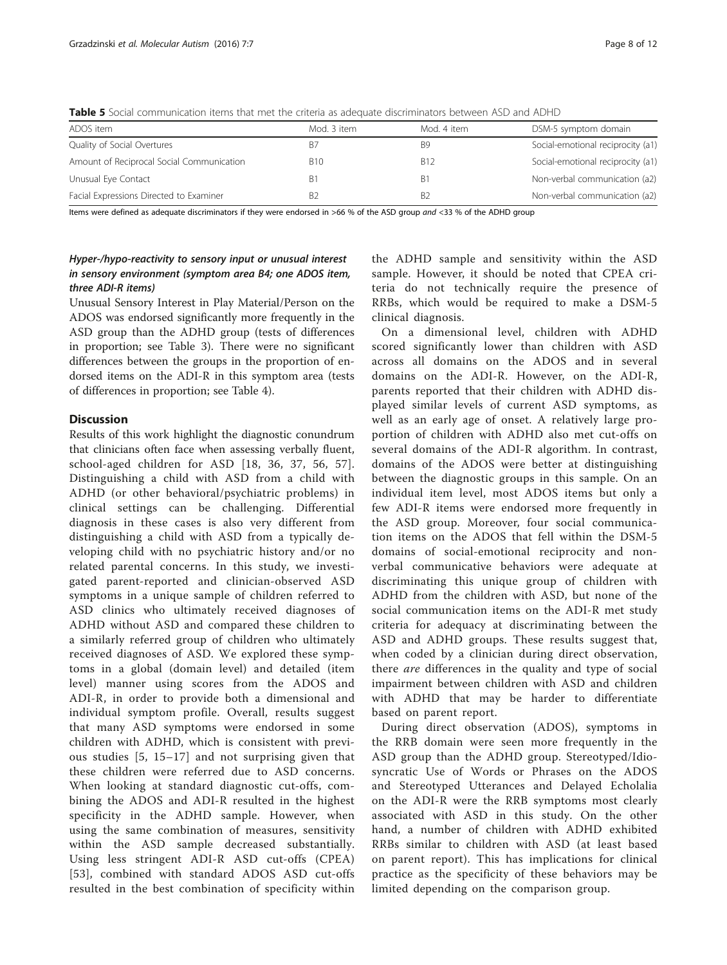<span id="page-7-0"></span>Table 5 Social communication items that met the criteria as adequate discriminators between ASD and ADHD

| ADOS item                                 | Mod. 3 item | Mod. 4 item    | DSM-5 symptom domain              |
|-------------------------------------------|-------------|----------------|-----------------------------------|
| Quality of Social Overtures               |             | B9             | Social-emotional reciprocity (a1) |
| Amount of Reciprocal Social Communication | <b>B10</b>  | <b>B12</b>     | Social-emotional reciprocity (a1) |
| Unusual Eye Contact                       | B1          | B1             | Non-verbal communication (a2)     |
| Facial Expressions Directed to Examiner   | B2          | B <sub>2</sub> | Non-verbal communication (a2)     |

Items were defined as adequate discriminators if they were endorsed in >66 % of the ASD group and <33 % of the ADHD group

## Hyper-/hypo-reactivity to sensory input or unusual interest in sensory environment (symptom area B4; one ADOS item, three ADI-R items)

Unusual Sensory Interest in Play Material/Person on the ADOS was endorsed significantly more frequently in the ASD group than the ADHD group (tests of differences in proportion; see Table [3\)](#page-5-0). There were no significant differences between the groups in the proportion of endorsed items on the ADI-R in this symptom area (tests of differences in proportion; see Table [4\)](#page-6-0).

## **Discussion**

Results of this work highlight the diagnostic conundrum that clinicians often face when assessing verbally fluent, school-aged children for ASD [\[18](#page-10-0), [36, 37](#page-10-0), [56, 57](#page-11-0)]. Distinguishing a child with ASD from a child with ADHD (or other behavioral/psychiatric problems) in clinical settings can be challenging. Differential diagnosis in these cases is also very different from distinguishing a child with ASD from a typically developing child with no psychiatric history and/or no related parental concerns. In this study, we investigated parent-reported and clinician-observed ASD symptoms in a unique sample of children referred to ASD clinics who ultimately received diagnoses of ADHD without ASD and compared these children to a similarly referred group of children who ultimately received diagnoses of ASD. We explored these symptoms in a global (domain level) and detailed (item level) manner using scores from the ADOS and ADI-R, in order to provide both a dimensional and individual symptom profile. Overall, results suggest that many ASD symptoms were endorsed in some children with ADHD, which is consistent with previous studies [[5, 15](#page-10-0)–[17](#page-10-0)] and not surprising given that these children were referred due to ASD concerns. When looking at standard diagnostic cut-offs, combining the ADOS and ADI-R resulted in the highest specificity in the ADHD sample. However, when using the same combination of measures, sensitivity within the ASD sample decreased substantially. Using less stringent ADI-R ASD cut-offs (CPEA) [[53](#page-11-0)], combined with standard ADOS ASD cut-offs resulted in the best combination of specificity within

the ADHD sample and sensitivity within the ASD sample. However, it should be noted that CPEA criteria do not technically require the presence of RRBs, which would be required to make a DSM-5 clinical diagnosis.

On a dimensional level, children with ADHD scored significantly lower than children with ASD across all domains on the ADOS and in several domains on the ADI-R. However, on the ADI-R, parents reported that their children with ADHD displayed similar levels of current ASD symptoms, as well as an early age of onset. A relatively large proportion of children with ADHD also met cut-offs on several domains of the ADI-R algorithm. In contrast, domains of the ADOS were better at distinguishing between the diagnostic groups in this sample. On an individual item level, most ADOS items but only a few ADI-R items were endorsed more frequently in the ASD group. Moreover, four social communication items on the ADOS that fell within the DSM-5 domains of social-emotional reciprocity and nonverbal communicative behaviors were adequate at discriminating this unique group of children with ADHD from the children with ASD, but none of the social communication items on the ADI-R met study criteria for adequacy at discriminating between the ASD and ADHD groups. These results suggest that, when coded by a clinician during direct observation, there are differences in the quality and type of social impairment between children with ASD and children with ADHD that may be harder to differentiate based on parent report.

During direct observation (ADOS), symptoms in the RRB domain were seen more frequently in the ASD group than the ADHD group. Stereotyped/Idiosyncratic Use of Words or Phrases on the ADOS and Stereotyped Utterances and Delayed Echolalia on the ADI-R were the RRB symptoms most clearly associated with ASD in this study. On the other hand, a number of children with ADHD exhibited RRBs similar to children with ASD (at least based on parent report). This has implications for clinical practice as the specificity of these behaviors may be limited depending on the comparison group.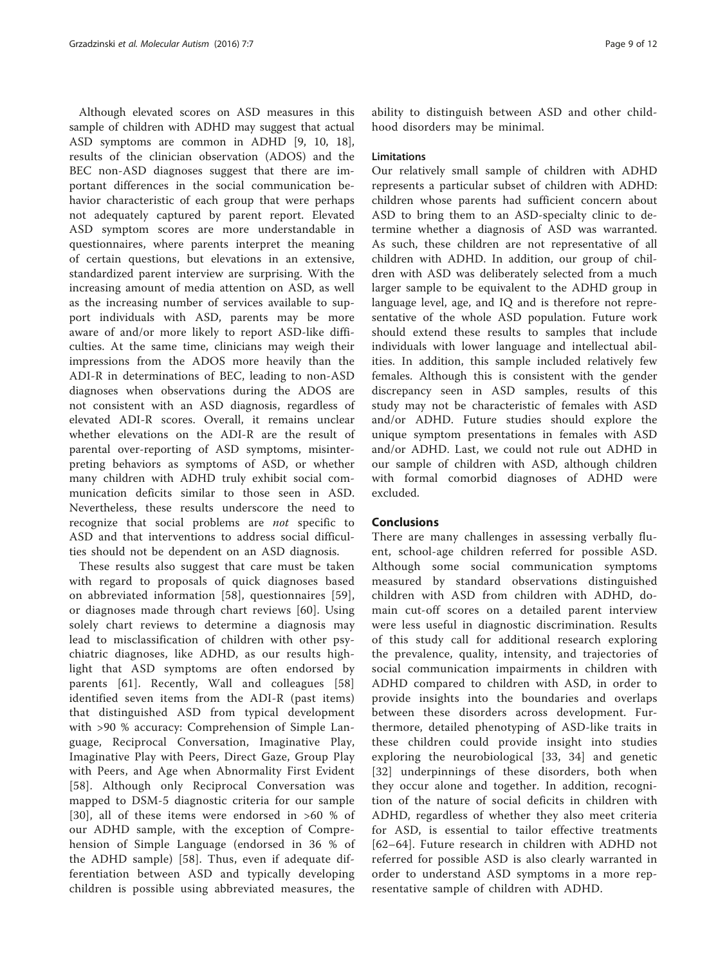Although elevated scores on ASD measures in this sample of children with ADHD may suggest that actual ASD symptoms are common in ADHD [[9, 10](#page-10-0), [18](#page-10-0)], results of the clinician observation (ADOS) and the BEC non-ASD diagnoses suggest that there are important differences in the social communication behavior characteristic of each group that were perhaps not adequately captured by parent report. Elevated ASD symptom scores are more understandable in questionnaires, where parents interpret the meaning of certain questions, but elevations in an extensive, standardized parent interview are surprising. With the increasing amount of media attention on ASD, as well as the increasing number of services available to support individuals with ASD, parents may be more aware of and/or more likely to report ASD-like difficulties. At the same time, clinicians may weigh their impressions from the ADOS more heavily than the ADI-R in determinations of BEC, leading to non-ASD diagnoses when observations during the ADOS are not consistent with an ASD diagnosis, regardless of elevated ADI-R scores. Overall, it remains unclear whether elevations on the ADI-R are the result of parental over-reporting of ASD symptoms, misinterpreting behaviors as symptoms of ASD, or whether many children with ADHD truly exhibit social communication deficits similar to those seen in ASD. Nevertheless, these results underscore the need to recognize that social problems are not specific to ASD and that interventions to address social difficulties should not be dependent on an ASD diagnosis.

These results also suggest that care must be taken with regard to proposals of quick diagnoses based on abbreviated information [\[58\]](#page-11-0), questionnaires [[59](#page-11-0)], or diagnoses made through chart reviews [[60](#page-11-0)]. Using solely chart reviews to determine a diagnosis may lead to misclassification of children with other psychiatric diagnoses, like ADHD, as our results highlight that ASD symptoms are often endorsed by parents [[61\]](#page-11-0). Recently, Wall and colleagues [[58](#page-11-0)] identified seven items from the ADI-R (past items) that distinguished ASD from typical development with >90 % accuracy: Comprehension of Simple Language, Reciprocal Conversation, Imaginative Play, Imaginative Play with Peers, Direct Gaze, Group Play with Peers, and Age when Abnormality First Evident [[58](#page-11-0)]. Although only Reciprocal Conversation was mapped to DSM-5 diagnostic criteria for our sample [[30](#page-10-0)], all of these items were endorsed in >60 % of our ADHD sample, with the exception of Comprehension of Simple Language (endorsed in 36 % of the ADHD sample) [[58\]](#page-11-0). Thus, even if adequate differentiation between ASD and typically developing children is possible using abbreviated measures, the

ability to distinguish between ASD and other childhood disorders may be minimal.

## **Limitations**

Our relatively small sample of children with ADHD represents a particular subset of children with ADHD: children whose parents had sufficient concern about ASD to bring them to an ASD-specialty clinic to determine whether a diagnosis of ASD was warranted. As such, these children are not representative of all children with ADHD. In addition, our group of children with ASD was deliberately selected from a much larger sample to be equivalent to the ADHD group in language level, age, and IQ and is therefore not representative of the whole ASD population. Future work should extend these results to samples that include individuals with lower language and intellectual abilities. In addition, this sample included relatively few females. Although this is consistent with the gender discrepancy seen in ASD samples, results of this study may not be characteristic of females with ASD and/or ADHD. Future studies should explore the unique symptom presentations in females with ASD and/or ADHD. Last, we could not rule out ADHD in our sample of children with ASD, although children with formal comorbid diagnoses of ADHD were excluded.

## Conclusions

There are many challenges in assessing verbally fluent, school-age children referred for possible ASD. Although some social communication symptoms measured by standard observations distinguished children with ASD from children with ADHD, domain cut-off scores on a detailed parent interview were less useful in diagnostic discrimination. Results of this study call for additional research exploring the prevalence, quality, intensity, and trajectories of social communication impairments in children with ADHD compared to children with ASD, in order to provide insights into the boundaries and overlaps between these disorders across development. Furthermore, detailed phenotyping of ASD-like traits in these children could provide insight into studies exploring the neurobiological [[33](#page-10-0), [34](#page-10-0)] and genetic [[32](#page-10-0)] underpinnings of these disorders, both when they occur alone and together. In addition, recognition of the nature of social deficits in children with ADHD, regardless of whether they also meet criteria for ASD, is essential to tailor effective treatments [[62](#page-11-0)–[64\]](#page-11-0). Future research in children with ADHD not referred for possible ASD is also clearly warranted in order to understand ASD symptoms in a more representative sample of children with ADHD.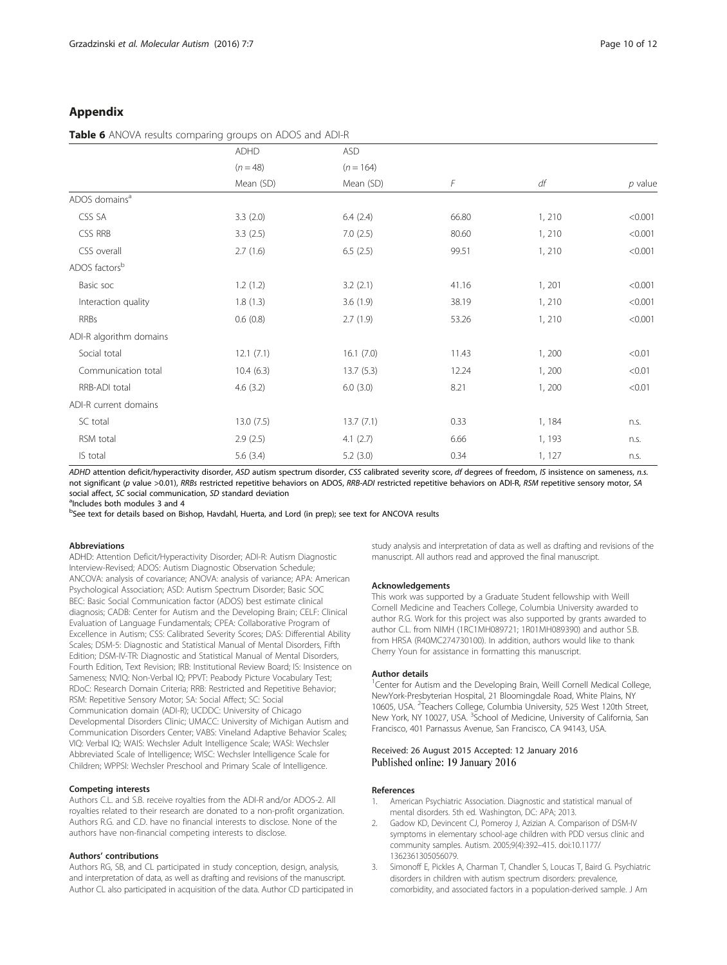## <span id="page-9-0"></span>Appendix

#### Table 6 ANOVA results comparing groups on ADOS and ADI-R

|                           | <b>ADHD</b> | <b>ASD</b>  |       |        |           |
|---------------------------|-------------|-------------|-------|--------|-----------|
|                           | $(n = 48)$  | $(n = 164)$ |       |        |           |
|                           | Mean (SD)   | Mean (SD)   | F     | df     | $p$ value |
| ADOS domains <sup>a</sup> |             |             |       |        |           |
| CSS SA                    | 3.3(2.0)    | 6.4(2.4)    | 66.80 | 1,210  | < 0.001   |
| CSS RRB                   | 3.3(2.5)    | 7.0(2.5)    | 80.60 | 1,210  | < 0.001   |
| CSS overall               | 2.7(1.6)    | 6.5(2.5)    | 99.51 | 1,210  | < 0.001   |
| ADOS factors <sup>b</sup> |             |             |       |        |           |
| Basic soc                 | 1.2(1.2)    | 3.2(2.1)    | 41.16 | 1, 201 | < 0.001   |
| Interaction quality       | 1.8(1.3)    | 3.6(1.9)    | 38.19 | 1, 210 | < 0.001   |
| RRBs                      | 0.6(0.8)    | 2.7(1.9)    | 53.26 | 1, 210 | < 0.001   |
| ADI-R algorithm domains   |             |             |       |        |           |
| Social total              | 12.1(7.1)   | 16.1(7.0)   | 11.43 | 1, 200 | < 0.01    |
| Communication total       | 10.4(6.3)   | 13.7(5.3)   | 12.24 | 1,200  | < 0.01    |
| RRB-ADI total             | 4.6(3.2)    | 6.0(3.0)    | 8.21  | 1,200  | < 0.01    |
| ADI-R current domains     |             |             |       |        |           |
| SC total                  | 13.0(7.5)   | 13.7(7.1)   | 0.33  | 1, 184 | n.s.      |
| RSM total                 | 2.9(2.5)    | 4.1 $(2.7)$ | 6.66  | 1, 193 | n.s.      |
| IS total                  | 5.6(3.4)    | 5.2(3.0)    | 0.34  | 1, 127 | n.s.      |

ADHD attention deficit/hyperactivity disorder, ASD autism spectrum disorder, CSS calibrated severity score, df degrees of freedom, IS insistence on sameness, n.s. not significant (p value >0.01), RRBs restricted repetitive behaviors on ADOS, RRB-ADI restricted repetitive behaviors on ADI-R, RSM repetitive sensory motor, SA social affect, SC social communication, SD standard deviation

<sup>a</sup>Includes both modules 3 and 4

<sup>b</sup>See text for details based on Bishop, Havdahl, Huerta, and Lord (in prep); see text for ANCOVA results

#### Abbreviations

ADHD: Attention Deficit/Hyperactivity Disorder; ADI-R: Autism Diagnostic Interview-Revised; ADOS: Autism Diagnostic Observation Schedule; ANCOVA: analysis of covariance; ANOVA: analysis of variance; APA: American Psychological Association; ASD: Autism Spectrum Disorder; Basic SOC BEC: Basic Social Communication factor (ADOS) best estimate clinical diagnosis; CADB: Center for Autism and the Developing Brain; CELF: Clinical Evaluation of Language Fundamentals; CPEA: Collaborative Program of Excellence in Autism; CSS: Calibrated Severity Scores; DAS: Differential Ability Scales; DSM-5: Diagnostic and Statistical Manual of Mental Disorders, Fifth Edition; DSM-IV-TR: Diagnostic and Statistical Manual of Mental Disorders, Fourth Edition, Text Revision; IRB: Institutional Review Board; IS: Insistence on Sameness; NVIQ: Non-Verbal IQ; PPVT: Peabody Picture Vocabulary Test; RDoC: Research Domain Criteria; RRB: Restricted and Repetitive Behavior; RSM: Repetitive Sensory Motor; SA: Social Affect; SC: Social Communication domain (ADI-R); UCDDC: University of Chicago Developmental Disorders Clinic; UMACC: University of Michigan Autism and Communication Disorders Center; VABS: Vineland Adaptive Behavior Scales; VIQ: Verbal IQ; WAIS: Wechsler Adult Intelligence Scale; WASI: Wechsler Abbreviated Scale of Intelligence; WISC: Wechsler Intelligence Scale for Children; WPPSI: Wechsler Preschool and Primary Scale of Intelligence.

#### Competing interests

Authors C.L. and S.B. receive royalties from the ADI-R and/or ADOS-2. All royalties related to their research are donated to a non-profit organization. Authors R.G. and C.D. have no financial interests to disclose. None of the authors have non-financial competing interests to disclose.

#### Authors' contributions

Authors RG, SB, and CL participated in study conception, design, analysis, and interpretation of data, as well as drafting and revisions of the manuscript. Author CL also participated in acquisition of the data. Author CD participated in study analysis and interpretation of data as well as drafting and revisions of the manuscript. All authors read and approved the final manuscript.

#### Acknowledgements

This work was supported by a Graduate Student fellowship with Weill Cornell Medicine and Teachers College, Columbia University awarded to author R.G. Work for this project was also supported by grants awarded to author C.L. from NIMH (1RC1MH089721; 1R01MH089390) and author S.B. from HRSA (R40MC274730100). In addition, authors would like to thank Cherry Youn for assistance in formatting this manuscript.

#### Author details

<sup>1</sup> Center for Autism and the Developing Brain, Weill Cornell Medical College, NewYork-Presbyterian Hospital, 21 Bloomingdale Road, White Plains, NY 10605, USA. <sup>2</sup> Teachers College, Columbia University, 525 West 120th Street, New York, NY 10027, USA. <sup>3</sup>School of Medicine, University of California, San Francisco, 401 Parnassus Avenue, San Francisco, CA 94143, USA.

#### Received: 26 August 2015 Accepted: 12 January 2016 Published online: 19 January 2016

#### References

- 1. American Psychiatric Association. Diagnostic and statistical manual of mental disorders. 5th ed. Washington, DC: APA; 2013.
- 2. Gadow KD, Devincent CJ, Pomeroy J, Azizian A. Comparison of DSM-IV symptoms in elementary school-age children with PDD versus clinic and community samples. Autism. 2005;9(4):392–415. doi[:10.1177/](http://dx.doi.org/10.1177/1362361305056079) [1362361305056079](http://dx.doi.org/10.1177/1362361305056079).
- 3. Simonoff E, Pickles A, Charman T, Chandler S, Loucas T, Baird G. Psychiatric disorders in children with autism spectrum disorders: prevalence, comorbidity, and associated factors in a population-derived sample. J Am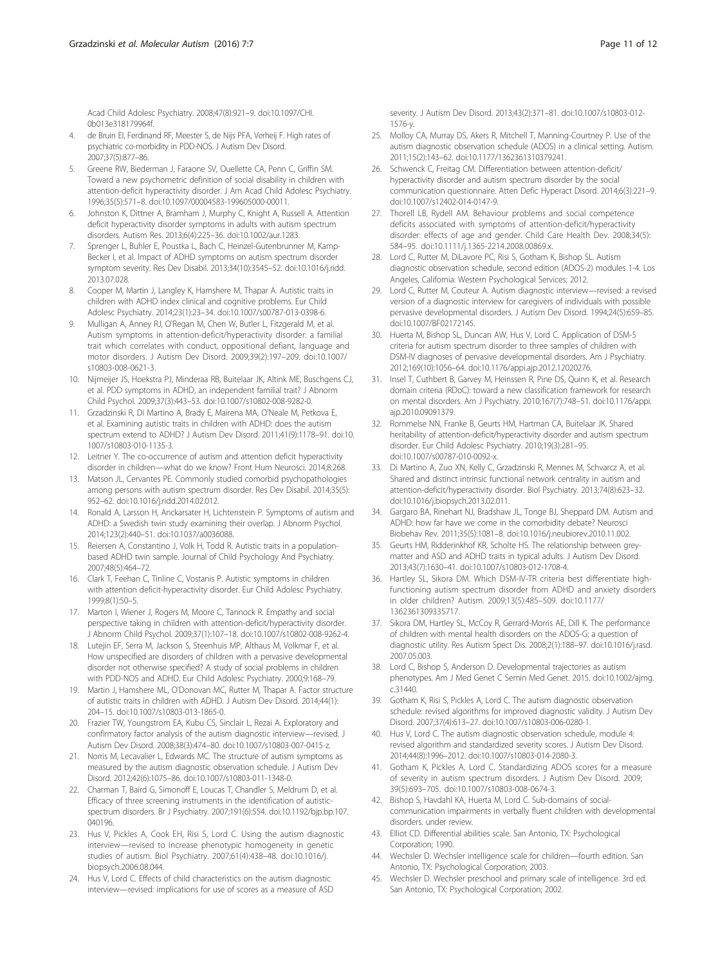<span id="page-10-0"></span>Acad Child Adolesc Psychiatry. 2008;47(8):921–9. doi:[10.1097/CHI.](http://dx.doi.org/10.1097/CHI.0b013e318179964f) [0b013e318179964f](http://dx.doi.org/10.1097/CHI.0b013e318179964f).

- 4. de Bruin EI, Ferdinand RF, Meester S, de Nijs PFA, Verheij F. High rates of psychiatric co-morbidity in PDD-NOS. J Autism Dev Disord. 2007;37(5):877–86.
- 5. Greene RW, Biederman J, Faraone SV, Ouellette CA, Penn C, Griffin SM. Toward a new psychometric definition of social disability in children with attention-deficit hyperactivity disorder. J Am Acad Child Adolesc Psychiatry. 1996;35(5):571–8. doi[:10.1097/00004583-199605000-00011.](http://dx.doi.org/10.1097/00004583-199605000-00011)
- 6. Johnston K, Dittner A, Bramham J, Murphy C, Knight A, Russell A. Attention deficit hyperactivity disorder symptoms in adults with autism spectrum disorders. Autism Res. 2013;6(4):225–36. doi[:10.1002/aur.1283](http://dx.doi.org/10.1002/aur.1283).
- 7. Sprenger L, Buhler E, Poustka L, Bach C, Heinzel-Gutenbrunner M, Kamp-Becker I, et al. Impact of ADHD symptoms on autism spectrum disorder symptom severity. Res Dev Disabil. 2013;34(10):3545–52. doi:[10.1016/j.ridd.](http://dx.doi.org/10.1016/j.ridd.2013.07.028) [2013.07.028.](http://dx.doi.org/10.1016/j.ridd.2013.07.028)
- 8. Cooper M, Martin J, Langley K, Hamshere M, Thapar A. Autistic traits in children with ADHD index clinical and cognitive problems. Eur Child Adolesc Psychiatry. 2014;23(1):23–34. doi:[10.1007/s00787-013-0398-6.](http://dx.doi.org/10.1007/s00787-013-0398-6)
- 9. Mulligan A, Anney RJ, O'Regan M, Chen W, Butler L, Fitzgerald M, et al. Autism symptoms in attention-deficit/hyperactivity disorder: a familial trait which correlates with conduct, oppositional defiant, language and motor disorders. J Autism Dev Disord. 2009;39(2):197–209. doi:[10.1007/](http://dx.doi.org/10.1007/s10803-008-0621-3) [s10803-008-0621-3](http://dx.doi.org/10.1007/s10803-008-0621-3).
- 10. Nijmeijer JS, Hoekstra PJ, Minderaa RB, Buitelaar JK, Altink ME, Buschgens CJ, et al. PDD symptoms in ADHD, an independent familial trait? J Abnorm Child Psychol. 2009;37(3):443–53. doi[:10.1007/s10802-008-9282-0.](http://dx.doi.org/10.1007/s10802-008-9282-0)
- 11. Grzadzinski R, Di Martino A, Brady E, Mairena MA, O'Neale M, Petkova E, et al. Examining autistic traits in children with ADHD: does the autism spectrum extend to ADHD? J Autism Dev Disord. 2011;41(9):1178–91. doi[:10.](http://dx.doi.org/10.1007/s10803-010-1135-3) [1007/s10803-010-1135-3.](http://dx.doi.org/10.1007/s10803-010-1135-3)
- 12. Leitner Y. The co-occurrence of autism and attention deficit hyperactivity disorder in children—what do we know? Front Hum Neurosci. 2014;8:268.
- 13. Matson JL, Cervantes PE. Commonly studied comorbid psychopathologies among persons with autism spectrum disorder. Res Dev Disabil. 2014;35(5): 952–62. doi:[10.1016/j.ridd.2014.02.012](http://dx.doi.org/10.1016/j.ridd.2014.02.012).
- 14. Ronald A, Larsson H, Anckarsater H, Lichtenstein P. Symptoms of autism and ADHD: a Swedish twin study examining their overlap. J Abnorm Psychol. 2014;123(2):440–51. doi[:10.1037/a0036088.](http://dx.doi.org/10.1037/a0036088)
- 15. Reiersen A, Constantino J, Volk H, Todd R. Autistic traits in a populationbased ADHD twin sample. Journal of Child Psychology And Psychiatry. 2007;48(5):464–72.
- 16. Clark T, Feehan C, Tinline C, Vostanis P. Autistic symptoms in children with attention deficit-hyperactivity disorder. Eur Child Adolesc Psychiatry. 1999;8(1):50–5.
- 17. Marton I, Wiener J, Rogers M, Moore C, Tannock R. Empathy and social perspective taking in children with attention-deficit/hyperactivity disorder. J Abnorm Child Psychol. 2009;37(1):107–18. doi:[10.1007/s10802-008-9262-4.](http://dx.doi.org/10.1007/s10802-008-9262-4)
- 18. Lutejin EF, Serra M, Jackson S, Steenhuis MP, Althaus M, Volkmar F, et al. How unspecified are disorders of children with a pervasive developmental disorder not otherwise specified? A study of social problems in children with PDD-NOS and ADHD. Eur Child Adolesc Psychiatry. 2000;9:168–79.
- 19. Martin J, Hamshere ML, O'Donovan MC, Rutter M, Thapar A. Factor structure of autistic traits in children with ADHD. J Autism Dev Disord. 2014;44(1): 204–15. doi:[10.1007/s10803-013-1865-0](http://dx.doi.org/10.1007/s10803-013-1865-0).
- 20. Frazier TW, Youngstrom EA, Kubu CS, Sinclair L, Rezai A. Exploratory and confirmatory factor analysis of the autism diagnostic interview—revised. J Autism Dev Disord. 2008;38(3):474–80. doi[:10.1007/s10803-007-0415-z.](http://dx.doi.org/10.1007/s10803-007-0415-z)
- 21. Norris M, Lecavalier L, Edwards MC. The structure of autism symptoms as measured by the autism diagnostic observation schedule. J Autism Dev Disord. 2012;42(6):1075–86. doi[:10.1007/s10803-011-1348-0](http://dx.doi.org/10.1007/s10803-011-1348-0).
- 22. Charman T, Baird G, Simonoff E, Loucas T, Chandler S, Meldrum D, et al. Efficacy of three screening instruments in the identification of autisticspectrum disorders. Br J Psychiatry. 2007;191(6):554. doi:[10.1192/bjp.bp.107.](http://dx.doi.org/10.1192/bjp.bp.107.040196) [040196](http://dx.doi.org/10.1192/bjp.bp.107.040196).
- 23. Hus V, Pickles A, Cook EH, Risi S, Lord C. Using the autism diagnostic interview—revised to increase phenotypic homogeneity in genetic studies of autism. Biol Psychiatry. 2007;61(4):438–48. doi:[10.1016/j.](http://dx.doi.org/10.1016/j.biopsych.2006.08.044) [biopsych.2006.08.044](http://dx.doi.org/10.1016/j.biopsych.2006.08.044).
- 24. Hus V, Lord C. Effects of child characteristics on the autism diagnostic interview—revised: implications for use of scores as a measure of ASD

severity. J Autism Dev Disord. 2013;43(2):371–81. doi[:10.1007/s10803-012-](http://dx.doi.org/10.1007/s10803-012-1576-y) [1576-y.](http://dx.doi.org/10.1007/s10803-012-1576-y)

- 25. Molloy CA, Murray DS, Akers R, Mitchell T, Manning-Courtney P. Use of the autism diagnostic observation schedule (ADOS) in a clinical setting. Autism. 2011;15(2):143–62. doi:[10.1177/1362361310379241.](http://dx.doi.org/10.1177/1362361310379241)
- 26. Schwenck C, Freitag CM. Differentiation between attention-deficit/ hyperactivity disorder and autism spectrum disorder by the social communication questionnaire. Atten Defic Hyperact Disord. 2014;6(3):221–9. doi[:10.1007/s12402-014-0147-9](http://dx.doi.org/10.1007/s12402-014-0147-9).
- 27. Thorell LB, Rydell AM. Behaviour problems and social competence deficits associated with symptoms of attention-deficit/hyperactivity disorder: effects of age and gender. Child Care Health Dev. 2008;34(5): 584–95. doi:[10.1111/j.1365-2214.2008.00869.x](http://dx.doi.org/10.1111/j.1365-2214.2008.00869.x).
- 28. Lord C, Rutter M, DiLavore PC, Risi S, Gotham K, Bishop SL. Autism diagnostic observation schedule, second edition (ADOS-2) modules 1-4. Los Angeles, California: Western Psychological Services; 2012.
- 29. Lord C, Rutter M, Couteur A. Autism diagnostic interview—revised: a revised version of a diagnostic interview for caregivers of individuals with possible pervasive developmental disorders. J Autism Dev Disord. 1994;24(5):659–85. doi[:10.1007/BF02172145](http://dx.doi.org/10.1007/BF02172145).
- 30. Huerta M, Bishop SL, Duncan AW, Hus V, Lord C. Application of DSM-5 criteria for autism spectrum disorder to three samples of children with DSM-IV diagnoses of pervasive developmental disorders. Am J Psychiatry. 2012;169(10):1056–64. doi[:10.1176/appi.ajp.2012.12020276.](http://dx.doi.org/10.1176/appi.ajp.2012.12020276)
- 31. Insel T, Cuthbert B, Garvey M, Heinssen R, Pine DS, Quinn K, et al. Research domain criteria (RDoC): toward a new classification framework for research on mental disorders. Am J Psychiatry. 2010;167(7):748–51. doi[:10.1176/appi.](http://dx.doi.org/10.1176/appi.ajp.2010.09091379) [ajp.2010.09091379.](http://dx.doi.org/10.1176/appi.ajp.2010.09091379)
- 32. Rommelse NN, Franke B, Geurts HM, Hartman CA, Buitelaar JK. Shared heritability of attention-deficit/hyperactivity disorder and autism spectrum disorder. Eur Child Adolesc Psychiatry. 2010;19(3):281–95. doi[:10.1007/s00787-010-0092-x.](http://dx.doi.org/10.1007/s00787-010-0092-x)
- 33. Di Martino A, Zuo XN, Kelly C, Grzadzinski R, Mennes M, Schvarcz A, et al. Shared and distinct intrinsic functional network centrality in autism and attention-deficit/hyperactivity disorder. Biol Psychiatry. 2013;74(8):623–32. doi[:10.1016/j.biopsych.2013.02.011.](http://dx.doi.org/10.1016/j.biopsych.2013.02.011)
- 34. Gargaro BA, Rinehart NJ, Bradshaw JL, Tonge BJ, Sheppard DM. Autism and ADHD: how far have we come in the comorbidity debate? Neurosci Biobehav Rev. 2011;35(5):1081–8. doi:[10.1016/j.neubiorev.2010.11.002.](http://dx.doi.org/10.1016/j.neubiorev.2010.11.002)
- 35. Geurts HM, Ridderinkhof KR, Scholte HS. The relationship between greymatter and ASD and ADHD traits in typical adults. J Autism Dev Disord. 2013;43(7):1630–41. doi[:10.1007/s10803-012-1708-4.](http://dx.doi.org/10.1007/s10803-012-1708-4)
- Hartley SL, Sikora DM. Which DSM-IV-TR criteria best differentiate highfunctioning autism spectrum disorder from ADHD and anxiety disorders in older children? Autism. 2009;13(5):485–509. doi[:10.1177/](http://dx.doi.org/10.1177/1362361309335717) [1362361309335717.](http://dx.doi.org/10.1177/1362361309335717)
- 37. Sikora DM, Hartley SL, McCoy R, Gerrard-Morris AE, Dill K. The performance of children with mental health disorders on the ADOS-G: a question of diagnostic utility. Res Autism Spect Dis. 2008;2(1):188–97. doi:[10.1016/j.rasd.](http://dx.doi.org/10.1016/j.rasd.2007.05.003) [2007.05.003.](http://dx.doi.org/10.1016/j.rasd.2007.05.003)
- 38. Lord C, Bishop S, Anderson D. Developmental trajectories as autism phenotypes. Am J Med Genet C Semin Med Genet. 2015. doi:10.1002/ajmg. c.31440.
- 39. Gotham K, Risi S, Pickles A, Lord C. The autism diagnostic observation schedule: revised algorithms for improved diagnostic validity. J Autism Dev Disord. 2007;37(4):613–27. doi:[10.1007/s10803-006-0280-1.](http://dx.doi.org/10.1007/s10803-006-0280-1)
- 40. Hus V, Lord C. The autism diagnostic observation schedule, module 4: revised algorithm and standardized severity scores. J Autism Dev Disord. 2014;44(8):1996–2012. doi[:10.1007/s10803-014-2080-3.](http://dx.doi.org/10.1007/s10803-014-2080-3)
- 41. Gotham K, Pickles A, Lord C. Standardizing ADOS scores for a measure of severity in autism spectrum disorders. J Autism Dev Disord. 2009; 39(5):693–705. doi:[10.1007/s10803-008-0674-3](http://dx.doi.org/10.1007/s10803-008-0674-3).
- 42. Bishop S, Havdahl KA, Huerta M, Lord C. Sub-domains of socialcommunication impairments in verbally fluent children with developmental disorders. under review.
- 43. Elliot CD. Differential abilities scale. San Antonio, TX: Psychological Corporation; 1990.
- 44. Wechsler D. Wechsler intelligence scale for children—fourth edition. San Antonio, TX: Psychological Corporation; 2003.
- 45. Wechsler D. Wechsler preschool and primary scale of intelligence. 3rd ed. San Antonio, TX: Psychological Corporation; 2002.